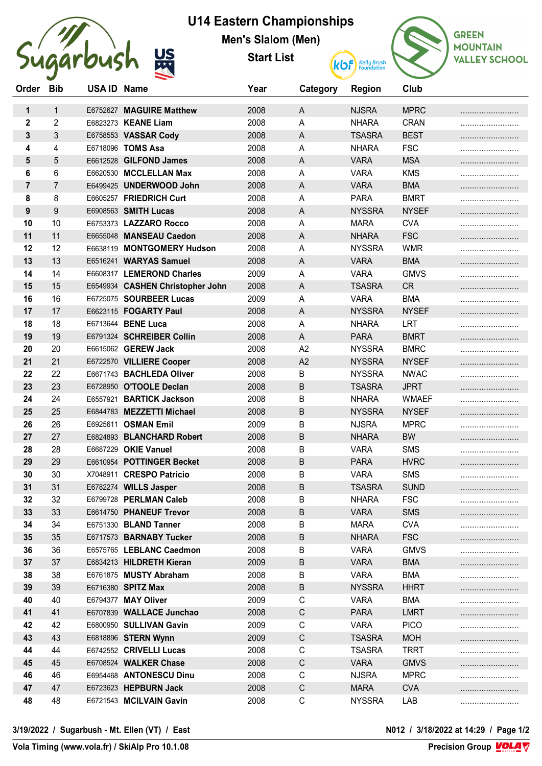

## **U14 Eastern Championships**

**Men's Slalom (Men)**

**Start List**



| Order                   | <b>Bib</b>     | USA ID Name |                                  | Year | Category       | <b>Region</b> | Club         |  |
|-------------------------|----------------|-------------|----------------------------------|------|----------------|---------------|--------------|--|
| 1                       | $\mathbf{1}$   |             | E6752627 MAGUIRE Matthew         | 2008 | A              | <b>NJSRA</b>  | <b>MPRC</b>  |  |
| $\overline{\mathbf{2}}$ | $\overline{2}$ |             | E6823273 KEANE Liam              | 2008 | A              | <b>NHARA</b>  | <b>CRAN</b>  |  |
| 3                       | 3              |             | E6758553 VASSAR Cody             | 2008 | $\mathsf{A}$   | <b>TSASRA</b> | <b>BEST</b>  |  |
| 4                       | 4              |             | E6718096 TOMS Asa                | 2008 | Α              | <b>NHARA</b>  | <b>FSC</b>   |  |
| 5                       | 5              |             | E6612528 GILFOND James           | 2008 | A              | <b>VARA</b>   | <b>MSA</b>   |  |
| 6                       | 6              |             | E6620530 MCCLELLAN Max           | 2008 | A              | <b>VARA</b>   | <b>KMS</b>   |  |
| $\overline{7}$          | $\overline{7}$ |             | E6499425 UNDERWOOD John          | 2008 | A              | <b>VARA</b>   | <b>BMA</b>   |  |
| 8                       | 8              |             | E6605257 FRIEDRICH Curt          | 2008 | Α              | <b>PARA</b>   | <b>BMRT</b>  |  |
| 9                       | 9              |             | E6908563 SMITH Lucas             | 2008 | A              | <b>NYSSRA</b> | <b>NYSEF</b> |  |
| 10                      | 10             |             | E6753373 LAZZARO Rocco           | 2008 | Α              | <b>MARA</b>   | <b>CVA</b>   |  |
| 11                      | 11             |             | E6655048 MANSEAU Caedon          | 2008 | A              | <b>NHARA</b>  | <b>FSC</b>   |  |
| 12                      | 12             |             | E6638119 MONTGOMERY Hudson       | 2008 | Α              | <b>NYSSRA</b> | <b>WMR</b>   |  |
| 13                      | 13             |             | E6516241 WARYAS Samuel           | 2008 | $\mathsf{A}$   | <b>VARA</b>   | <b>BMA</b>   |  |
| 14                      | 14             |             | E6608317 LEMEROND Charles        | 2009 | Α              | <b>VARA</b>   | <b>GMVS</b>  |  |
| 15                      | 15             |             | E6549934 CASHEN Christopher John | 2008 | $\mathsf{A}$   | <b>TSASRA</b> | <b>CR</b>    |  |
| 16                      | 16             |             | E6725075 SOURBEER Lucas          | 2009 | Α              | <b>VARA</b>   | <b>BMA</b>   |  |
| 17                      | 17             |             | E6623115 FOGARTY Paul            | 2008 | A              | <b>NYSSRA</b> | <b>NYSEF</b> |  |
| 18                      | 18             |             | E6713644 BENE Luca               | 2008 | Α              | <b>NHARA</b>  | LRT          |  |
| 19                      | 19             |             | E6791324 SCHREIBER Collin        | 2008 | A              | <b>PARA</b>   | <b>BMRT</b>  |  |
| 20                      | 20             |             | E6615062 GEREW Jack              | 2008 | A <sub>2</sub> | <b>NYSSRA</b> | <b>BMRC</b>  |  |
| 21                      | 21             |             | E6722570 VILLIERE Cooper         | 2008 | A2             | <b>NYSSRA</b> | <b>NYSEF</b> |  |
| 22                      | 22             |             | E6671743 BACHLEDA Oliver         | 2008 | B              | <b>NYSSRA</b> | <b>NWAC</b>  |  |
| 23                      | 23             |             | E6728950 O'TOOLE Declan          | 2008 | B              | <b>TSASRA</b> | <b>JPRT</b>  |  |
| 24                      | 24             |             | E6557921 BARTICK Jackson         | 2008 | В              | <b>NHARA</b>  | <b>WMAEF</b> |  |
| 25                      | 25             |             | E6844783 MEZZETTI Michael        | 2008 | B              | <b>NYSSRA</b> | <b>NYSEF</b> |  |
| 26                      | 26             |             | E6925611 OSMAN Emil              | 2009 | B              | <b>NJSRA</b>  | <b>MPRC</b>  |  |
| 27                      | 27             |             | E6824893 BLANCHARD Robert        | 2008 | B              | <b>NHARA</b>  | <b>BW</b>    |  |
| 28                      | 28             |             | E6687229 OKIE Vanuel             | 2008 | B              | <b>VARA</b>   | <b>SMS</b>   |  |
| 29                      | 29             |             | E6610954 POTTINGER Becket        | 2008 | B              | <b>PARA</b>   | <b>HVRC</b>  |  |
| 30                      | 30             |             | X7048911 CRESPO Patricio         | 2008 | В              | <b>VARA</b>   | <b>SMS</b>   |  |
| 31                      | 31             |             | E6782274 WILLS Jasper            | 2008 | B              | <b>TSASRA</b> | <b>SUND</b>  |  |
| 32                      | 32             |             | E6799728 PERLMAN Caleb           | 2008 | В              | <b>NHARA</b>  | <b>FSC</b>   |  |
| 33                      | 33             |             | E6614750 PHANEUF Trevor          | 2008 | Β              | <b>VARA</b>   | <b>SMS</b>   |  |
| 34                      | 34             |             | E6751330 BLAND Tanner            | 2008 | B              | <b>MARA</b>   | <b>CVA</b>   |  |
| 35                      | 35             |             | E6717573 BARNABY Tucker          | 2008 | B              | <b>NHARA</b>  | <b>FSC</b>   |  |
| 36                      | 36             |             | E6575765 LEBLANC Caedmon         | 2008 | B              | <b>VARA</b>   | <b>GMVS</b>  |  |
| 37                      | 37             |             | E6834213 HILDRETH Kieran         | 2009 | Β              | <b>VARA</b>   | <b>BMA</b>   |  |
| 38                      | 38             |             | E6761875 MUSTY Abraham           | 2008 | В              | <b>VARA</b>   | <b>BMA</b>   |  |
| 39                      | 39             |             | E6716380 SPITZ Max               | 2008 | B              | <b>NYSSRA</b> | <b>HHRT</b>  |  |
| 40                      | 40             |             | E6794377 MAY Oliver              | 2009 | C              | <b>VARA</b>   | <b>BMA</b>   |  |
| 41                      | 41             |             | E6707839 WALLACE Junchao         | 2008 | $\mathsf C$    | <b>PARA</b>   | <b>LMRT</b>  |  |
| 42                      | 42             |             | E6800950 SULLIVAN Gavin          | 2009 | $\mathsf C$    | <b>VARA</b>   | <b>PICO</b>  |  |
| 43                      | 43             |             | E6818896 STERN Wynn              | 2009 | $\mathsf C$    | <b>TSASRA</b> | <b>MOH</b>   |  |
| 44                      | 44             |             | E6742552 CRIVELLI Lucas          | 2008 | C              | <b>TSASRA</b> | <b>TRRT</b>  |  |
| 45                      | 45             |             | E6708524 WALKER Chase            | 2008 | $\mathsf C$    | <b>VARA</b>   | <b>GMVS</b>  |  |
| 46                      | 46             |             | E6954468 ANTONESCU Dinu          | 2008 | C              | <b>NJSRA</b>  | <b>MPRC</b>  |  |
| 47                      | 47             |             | E6723623 HEPBURN Jack            | 2008 | C              | <b>MARA</b>   | <b>CVA</b>   |  |
| 48                      | 48             |             | E6721543 MCILVAIN Gavin          | 2008 | С              | <b>NYSSRA</b> | LAB          |  |